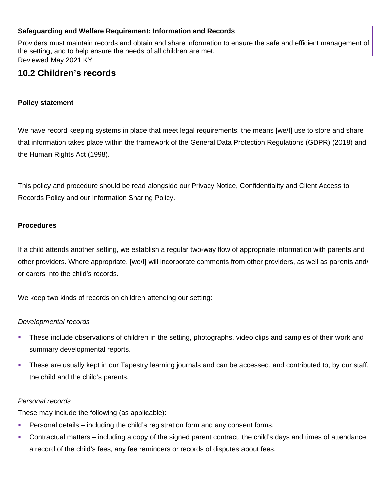### **Safeguarding and Welfare Requirement: Information and Records**

Providers must maintain records and obtain and share information to ensure the safe and efficient management of the setting, and to help ensure the needs of all children are met.

Reviewed May 2021 KY

# **10.2 Children's records**

### **Policy statement**

We have record keeping systems in place that meet legal requirements; the means [we/I] use to store and share that information takes place within the framework of the General Data Protection Regulations (GDPR) (2018) and the Human Rights Act (1998).

This policy and procedure should be read alongside our Privacy Notice, Confidentiality and Client Access to Records Policy and our Information Sharing Policy.

#### **Procedures**

If a child attends another setting, we establish a regular two-way flow of appropriate information with parents and other providers. Where appropriate, [we/I] will incorporate comments from other providers, as well as parents and/ or carers into the child's records.

We keep two kinds of records on children attending our setting:

### *Developmental records*

- These include observations of children in the setting, photographs, video clips and samples of their work and summary developmental reports.
- **These are usually kept in our Tapestry learning journals and can be accessed, and contributed to, by our staff,** the child and the child's parents.

#### *Personal records*

These may include the following (as applicable):

- **Personal details including the child's registration form and any consent forms.**
- Contractual matters including a copy of the signed parent contract, the child's days and times of attendance, a record of the child's fees, any fee reminders or records of disputes about fees.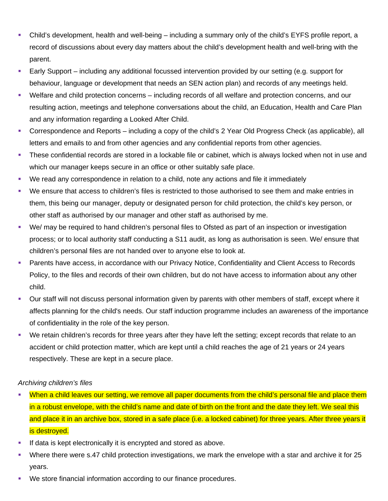- Child's development, health and well-being including a summary only of the child's EYFS profile report, a record of discussions about every day matters about the child's development health and well-bring with the parent.
- Early Support including any additional focussed intervention provided by our setting (e.g. support for behaviour, language or development that needs an SEN action plan) and records of any meetings held.
- Welfare and child protection concerns including records of all welfare and protection concerns, and our resulting action, meetings and telephone conversations about the child, an Education, Health and Care Plan and any information regarding a Looked After Child.
- Correspondence and Reports including a copy of the child's 2 Year Old Progress Check (as applicable), all letters and emails to and from other agencies and any confidential reports from other agencies.
- These confidential records are stored in a lockable file or cabinet, which is always locked when not in use and which our manager keeps secure in an office or other suitably safe place.
- We read any correspondence in relation to a child, note any actions and file it immediately
- We ensure that access to children's files is restricted to those authorised to see them and make entries in them, this being our manager, deputy or designated person for child protection, the child's key person, or other staff as authorised by our manager and other staff as authorised by me.
- We/ may be required to hand children's personal files to Ofsted as part of an inspection or investigation process; or to local authority staff conducting a S11 audit, as long as authorisation is seen. We/ ensure that children's personal files are not handed over to anyone else to look at.
- **Parents have access, in accordance with our Privacy Notice, Confidentiality and Client Access to Records** Policy, to the files and records of their own children, but do not have access to information about any other child.
- Our staff will not discuss personal information given by parents with other members of staff, except where it affects planning for the child's needs. Our staff induction programme includes an awareness of the importance of confidentiality in the role of the key person.
- We retain children's records for three years after they have left the setting; except records that relate to an accident or child protection matter, which are kept until a child reaches the age of 21 years or 24 years respectively. These are kept in a secure place.

## *Archiving children's files*

- When a child leaves our setting, we remove all paper documents from the child's personal file and place them in a robust envelope, with the child's name and date of birth on the front and the date they left. We seal this and place it in an archive box, stored in a safe place (i.e. a locked cabinet) for three years. After three years it is destroyed.
- **If data is kept electronically it is encrypted and stored as above.**
- Where there were s.47 child protection investigations, we mark the envelope with a star and archive it for 25 years.
- We store financial information according to our finance procedures.